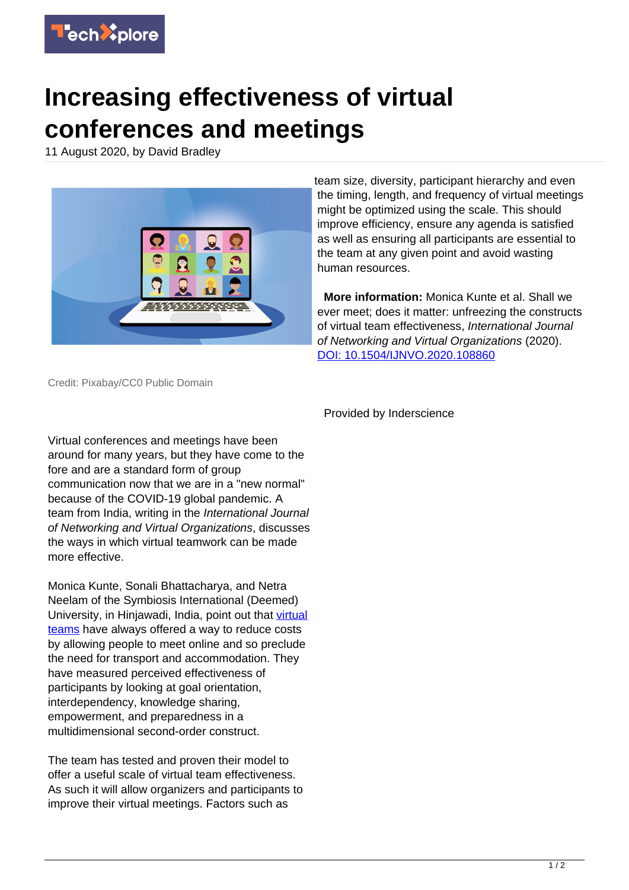

## **Increasing effectiveness of virtual conferences and meetings**

11 August 2020, by David Bradley



team size, diversity, participant hierarchy and even the timing, length, and frequency of virtual meetings might be optimized using the scale. This should improve efficiency, ensure any agenda is satisfied as well as ensuring all participants are essential to the team at any given point and avoid wasting human resources.

 **More information:** Monica Kunte et al. Shall we ever meet; does it matter: unfreezing the constructs of virtual team effectiveness, International Journal of Networking and Virtual Organizations (2020). [DOI: 10.1504/IJNVO.2020.108860](http://dx.doi.org/10.1504/IJNVO.2020.108860)

Credit: Pixabay/CC0 Public Domain

Virtual conferences and meetings have been around for many years, but they have come to the fore and are a standard form of group communication now that we are in a "new normal" because of the COVID-19 global pandemic. A team from India, writing in the International Journal of Networking and Virtual Organizations, discusses the ways in which virtual teamwork can be made more effective.

Monica Kunte, Sonali Bhattacharya, and Netra Neelam of the Symbiosis International (Deemed) University, in Hinjawadi, India, point out that [virtual](https://techxplore.com/tags/virtual+teams/) [teams](https://techxplore.com/tags/virtual+teams/) have always offered a way to reduce costs by allowing people to meet online and so preclude the need for transport and accommodation. They have measured perceived effectiveness of participants by looking at goal orientation, interdependency, knowledge sharing, empowerment, and preparedness in a multidimensional second-order construct.

The team has tested and proven their model to offer a useful scale of virtual team effectiveness. As such it will allow organizers and participants to improve their virtual meetings. Factors such as

Provided by Inderscience